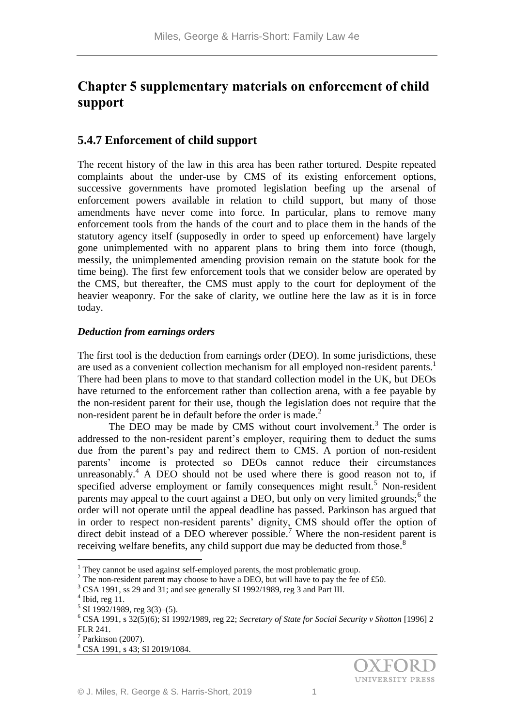# **Chapter 5 supplementary materials on enforcement of child support**

## **5.4.7 Enforcement of child support**

The recent history of the law in this area has been rather tortured. Despite repeated complaints about the under-use by CMS of its existing enforcement options, successive governments have promoted legislation beefing up the arsenal of enforcement powers available in relation to child support, but many of those amendments have never come into force. In particular, plans to remove many enforcement tools from the hands of the court and to place them in the hands of the statutory agency itself (supposedly in order to speed up enforcement) have largely gone unimplemented with no apparent plans to bring them into force (though, messily, the unimplemented amending provision remain on the statute book for the time being). The first few enforcement tools that we consider below are operated by the CMS, but thereafter, the CMS must apply to the court for deployment of the heavier weaponry. For the sake of clarity, we outline here the law as it is in force today.

## *Deduction from earnings orders*

The first tool is the deduction from earnings order (DEO). In some jurisdictions, these are used as a convenient collection mechanism for all employed non-resident parents.<sup>1</sup> There had been plans to move to that standard collection model in the UK, but DEOs have returned to the enforcement rather than collection arena, with a fee payable by the non-resident parent for their use, though the legislation does not require that the non-resident parent be in default before the order is made.<sup>2</sup>

The DEO may be made by CMS without court involvement.<sup>3</sup> The order is addressed to the non-resident parent's employer, requiring them to deduct the sums due from the parent's pay and redirect them to CMS. A portion of non-resident parents' income is protected so DEOs cannot reduce their circumstances unreasonably.<sup>4</sup> A DEO should not be used where there is good reason not to, if specified adverse employment or family consequences might result.<sup>5</sup> Non-resident parents may appeal to the court against a DEO, but only on very limited grounds;<sup>6</sup> the order will not operate until the appeal deadline has passed. Parkinson has argued that in order to respect non-resident parents' dignity, CMS should offer the option of direct debit instead of a DEO wherever possible.<sup>7</sup> Where the non-resident parent is receiving welfare benefits, any child support due may be deducted from those.<sup>8</sup>

<u>.</u>

 $1$  They cannot be used against self-employed parents, the most problematic group.

<sup>&</sup>lt;sup>2</sup> The non-resident parent may choose to have a DEO, but will have to pay the fee of £50.

<sup>3</sup> CSA 1991, ss 29 and 31; and see generally SI 1992/1989, reg 3 and Part III.

 $<sup>4</sup>$  Ibid, reg 11.</sup>

 $5$  SI 1992/1989, reg 3(3)–(5).

<sup>6</sup> CSA 1991, s 32(5)(6); SI 1992/1989, reg 22; *Secretary of State for Social Security v Shotton* [1996] 2 FLR 241.

 $7$  Parkinson (2007).

<sup>8</sup> CSA 1991, s 43; SI 2019/1084.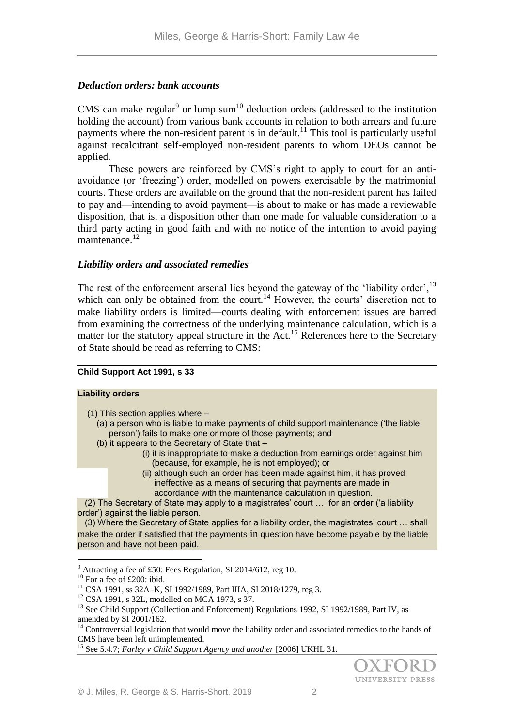## *Deduction orders: bank accounts*

CMS can make regular<sup>9</sup> or lump sum<sup>10</sup> deduction orders (addressed to the institution holding the account) from various bank accounts in relation to both arrears and future payments where the non-resident parent is in default.<sup>11</sup> This tool is particularly useful against recalcitrant self-employed non-resident parents to whom DEOs cannot be applied.

These powers are reinforced by CMS's right to apply to court for an antiavoidance (or 'freezing') order, modelled on powers exercisable by the matrimonial courts. These orders are available on the ground that the non-resident parent has failed to pay and—intending to avoid payment—is about to make or has made a reviewable disposition, that is, a disposition other than one made for valuable consideration to a third party acting in good faith and with no notice of the intention to avoid paying maintenance.<sup>12</sup>

## *Liability orders and associated remedies*

The rest of the enforcement arsenal lies beyond the gateway of the 'liability order',  $^{13}$ which can only be obtained from the court.<sup>14</sup> However, the courts' discretion not to make liability orders is limited—courts dealing with enforcement issues are barred from examining the correctness of the underlying maintenance calculation, which is a matter for the statutory appeal structure in the  $Act<sup>15</sup>$  References here to the Secretary of State should be read as referring to CMS:

#### **Child Support Act 1991, s 33**

#### **Liability orders**

(1) This section applies where –

- (a) a person who is liable to make payments of child support maintenance ('the liable person') fails to make one or more of those payments; and
- (b) it appears to the Secretary of State that
	- (i) it is inappropriate to make a deduction from earnings order against him (because, for example, he is not employed); or
	- (ii) although such an order has been made against him, it has proved ineffective as a means of securing that payments are made in accordance with the maintenance calculation in question.

 (2) The Secretary of State may apply to a magistrates' court … for an order ('a liability order') against the liable person.

 (3) Where the Secretary of State applies for a liability order, the magistrates' court … shall make the order if satisfied that the payments in question have become payable by the liable person and have not been paid.

<sup>&</sup>lt;sup>15</sup> See 5.4.7; *Farley v Child Support Agency and another* [2006] UKHL 31.



<sup>&</sup>lt;u>.</u>  $9$  Attracting a fee of £50: Fees Regulation, SI 2014/612, reg 10.

 $10$  For a fee of £200: ibid.

<sup>11</sup> CSA 1991, ss 32A–K, SI 1992/1989, Part IIIA, SI 2018/1279, reg 3.

<sup>12</sup> CSA 1991, s 32L, modelled on MCA 1973, s 37.

<sup>&</sup>lt;sup>13</sup> See Child Support (Collection and Enforcement) Regulations 1992, SI 1992/1989, Part IV, as amended by SI 2001/162.

<sup>&</sup>lt;sup>14</sup> Controversial legislation that would move the liability order and associated remedies to the hands of CMS have been left unimplemented.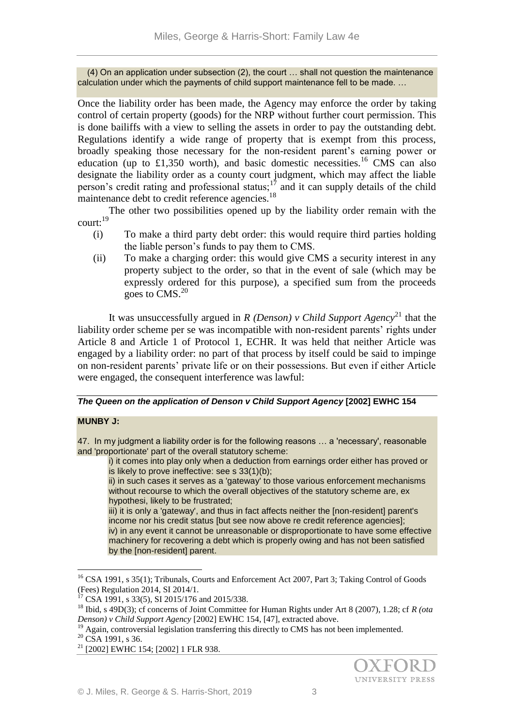(4) On an application under subsection (2), the court … shall not question the maintenance calculation under which the payments of child support maintenance fell to be made. …

Once the liability order has been made, the Agency may enforce the order by taking control of certain property (goods) for the NRP without further court permission. This is done bailiffs with a view to selling the assets in order to pay the outstanding debt. Regulations identify a wide range of property that is exempt from this process, broadly speaking those necessary for the non-resident parent's earning power or education (up to £1,350 worth), and basic domestic necessities.<sup>16</sup> CMS can also designate the liability order as a county court judgment, which may affect the liable person's credit rating and professional status;<sup>17</sup> and it can supply details of the child maintenance debt to credit reference agencies.<sup>18</sup>

The other two possibilities opened up by the liability order remain with the court:<sup>19</sup>

- (i) To make a third party debt order: this would require third parties holding the liable person's funds to pay them to CMS.
- (ii) To make a charging order: this would give CMS a security interest in any property subject to the order, so that in the event of sale (which may be expressly ordered for this purpose), a specified sum from the proceeds goes to CMS.<sup>20</sup>

It was unsuccessfully argued in *R (Denson)* v Child Support Agency<sup>21</sup> that the liability order scheme per se was incompatible with non-resident parents' rights under Article 8 and Article 1 of Protocol 1, ECHR. It was held that neither Article was engaged by a liability order: no part of that process by itself could be said to impinge on non-resident parents' private life or on their possessions. But even if either Article were engaged, the consequent interference was lawful:

## *The Queen on the application of Denson v Child Support Agency* **[2002] EWHC 154**

## **MUNBY J:**

47. In my judgment a liability order is for the following reasons … a 'necessary', reasonable and 'proportionate' part of the overall statutory scheme:

i) it comes into play only when a deduction from earnings order either has proved or is likely to prove ineffective: see s 33(1)(b);

ii) in such cases it serves as a 'gateway' to those various enforcement mechanisms without recourse to which the overall objectives of the statutory scheme are, ex hypothesi, likely to be frustrated;

iii) it is only a 'gateway', and thus in fact affects neither the [non-resident] parent's income nor his credit status [but see now above re credit reference agencies]; iv) in any event it cannot be unreasonable or disproportionate to have some effective machinery for recovering a debt which is properly owing and has not been satisfied by the [non-resident] parent.

1

<sup>&</sup>lt;sup>16</sup> CSA 1991, s 35(1); Tribunals, Courts and Enforcement Act 2007, Part 3; Taking Control of Goods (Fees) Regulation 2014, SI 2014/1.

CSA 1991, s 33(5), SI 2015/176 and 2015/338.

<sup>18</sup> Ibid, s 49D(3); cf concerns of Joint Committee for Human Rights under Art 8 (2007), 1.28; cf *R (ota Denson) v Child Support Agency* [2002] EWHC 154, [47], extracted above.

<sup>&</sup>lt;sup>19</sup> Again, controversial legislation transferring this directly to CMS has not been implemented.

 $20 \text{CS}$ A 1991, s 36.

<sup>&</sup>lt;sup>21</sup> [2002] EWHC 154; [2002] 1 FLR 938.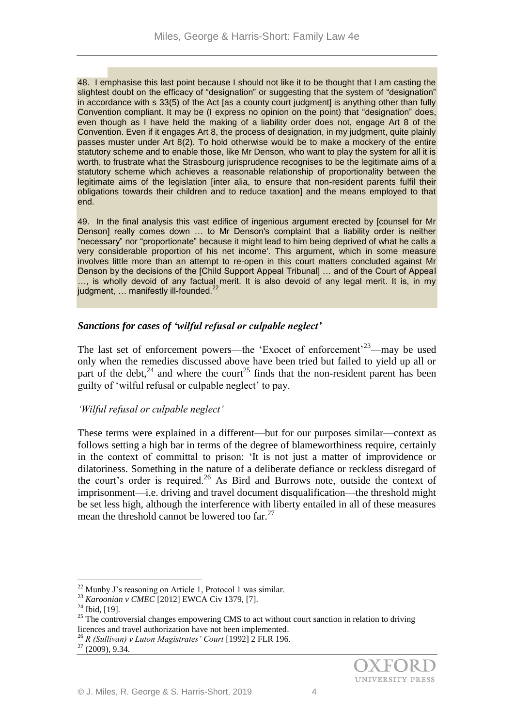48. I emphasise this last point because I should not like it to be thought that I am casting the slightest doubt on the efficacy of "designation" or suggesting that the system of "designation" in accordance with s 33(5) of the Act [as a county court judgment] is anything other than fully Convention compliant. It may be (I express no opinion on the point) that "designation" does, even though as I have held the making of a liability order does not, engage Art 8 of the Convention. Even if it engages Art 8, the process of designation, in my judgment, quite plainly passes muster under Art 8(2). To hold otherwise would be to make a mockery of the entire statutory scheme and to enable those, like Mr Denson, who want to play the system for all it is worth, to frustrate what the Strasbourg jurisprudence recognises to be the legitimate aims of a statutory scheme which achieves a reasonable relationship of proportionality between the legitimate aims of the legislation [inter alia, to ensure that non-resident parents fulfil their obligations towards their children and to reduce taxation] and the means employed to that end.

49. In the final analysis this vast edifice of ingenious argument erected by [counsel for Mr Denson] really comes down ... to Mr Denson's complaint that a liability order is neither "necessary" nor "proportionate" because it might lead to him being deprived of what he calls a very considerable proportion of his net income'. This argument, which in some measure involves little more than an attempt to re-open in this court matters concluded against Mr Denson by the decisions of the [Child Support Appeal Tribunal] … and of the Court of Appeal …, is wholly devoid of any factual merit. It is also devoid of any legal merit. It is, in my judgment, ... manifestly ill-founded.<sup>22</sup>

## *Sanctions for cases of 'wilful refusal or culpable neglect'*

The last set of enforcement powers—the 'Exocet of enforcement'<sup>23</sup>—may be used only when the remedies discussed above have been tried but failed to yield up all or part of the debt,  $24$  and where the court<sup>25</sup> finds that the non-resident parent has been guilty of 'wilful refusal or culpable neglect' to pay.

## *'Wilful refusal or culpable neglect'*

These terms were explained in a different—but for our purposes similar—context as follows setting a high bar in terms of the degree of blameworthiness require, certainly in the context of committal to prison: 'It is not just a matter of improvidence or dilatoriness. Something in the nature of a deliberate defiance or reckless disregard of the court's order is required.<sup>26</sup> As Bird and Burrows note, outside the context of imprisonment—i.e. driving and travel document disqualification—the threshold might be set less high, although the interference with liberty entailed in all of these measures mean the threshold cannot be lowered too  $far.^{27}$ 

1

 $22$  Munby J's reasoning on Article 1, Protocol 1 was similar.

<sup>23</sup> *Karoonian v CMEC* [2012] EWCA Civ 1379, [7].

<sup>&</sup>lt;sup>24</sup> Ibid, [19].

<sup>&</sup>lt;sup>25</sup> The controversial changes empowering CMS to act without court sanction in relation to driving licences and travel authorization have not been implemented.

<sup>26</sup> *R (Sullivan) v Luton Magistrates' Court* [1992] 2 FLR 196.

 $^{27}$  (2009), 9.34.